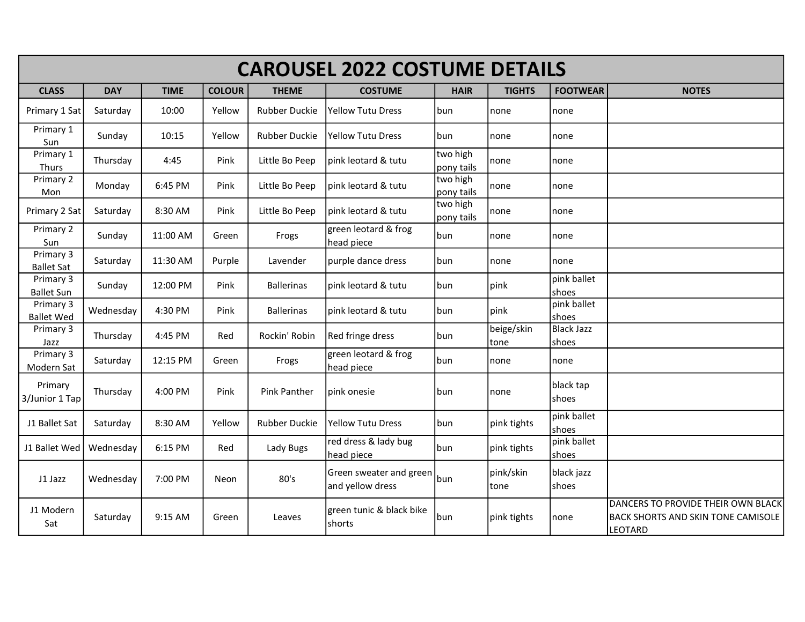| <b>CAROUSEL 2022 COSTUME DETAILS</b> |            |             |               |                      |                                             |                        |                     |                            |                                                                                                   |  |  |
|--------------------------------------|------------|-------------|---------------|----------------------|---------------------------------------------|------------------------|---------------------|----------------------------|---------------------------------------------------------------------------------------------------|--|--|
| <b>CLASS</b>                         | <b>DAY</b> | <b>TIME</b> | <b>COLOUR</b> | <b>THEME</b>         | <b>COSTUME</b>                              | <b>HAIR</b>            | <b>TIGHTS</b>       | <b>FOOTWEAR</b>            | <b>NOTES</b>                                                                                      |  |  |
| Primary 1 Sat                        | Saturday   | 10:00       | Yellow        | <b>Rubber Duckie</b> | <b>Yellow Tutu Dress</b>                    | bun                    | none                | none                       |                                                                                                   |  |  |
| Primary 1<br>Sun                     | Sunday     | 10:15       | Yellow        | <b>Rubber Duckie</b> | <b>Yellow Tutu Dress</b>                    | bun                    | none                | none                       |                                                                                                   |  |  |
| Primary 1<br>Thurs                   | Thursday   | 4:45        | Pink          | Little Bo Peep       | pink leotard & tutu                         | two high<br>pony tails | none                | none                       |                                                                                                   |  |  |
| Primary 2<br>Mon                     | Monday     | 6:45 PM     | Pink          | Little Bo Peep       | pink leotard & tutu                         | two high<br>pony tails | none                | none                       |                                                                                                   |  |  |
| Primary 2 Sat                        | Saturday   | 8:30 AM     | Pink          | Little Bo Peep       | pink leotard & tutu                         | two high<br>pony tails | none                | none                       |                                                                                                   |  |  |
| Primary 2<br>Sun                     | Sunday     | 11:00 AM    | Green         | Frogs                | green leotard & frog<br>head piece          | bun                    | none                | none                       |                                                                                                   |  |  |
| Primary 3<br><b>Ballet Sat</b>       | Saturday   | 11:30 AM    | Purple        | Lavender             | purple dance dress                          | bun                    | none                | none                       |                                                                                                   |  |  |
| Primary 3<br><b>Ballet Sun</b>       | Sunday     | 12:00 PM    | Pink          | <b>Ballerinas</b>    | pink leotard & tutu                         | bun                    | pink                | pink ballet<br>shoes       |                                                                                                   |  |  |
| Primary 3<br><b>Ballet Wed</b>       | Wednesday  | 4:30 PM     | Pink          | <b>Ballerinas</b>    | pink leotard & tutu                         | bun                    | pink                | pink ballet<br>shoes       |                                                                                                   |  |  |
| Primary 3<br>Jazz                    | Thursday   | 4:45 PM     | Red           | Rockin' Robin        | Red fringe dress                            | bun                    | beige/skin<br> tone | <b>Black Jazz</b><br>shoes |                                                                                                   |  |  |
| Primary 3<br>Modern Sat              | Saturday   | 12:15 PM    | Green         | Frogs                | green leotard & frog<br>head piece          | bun                    | none                | none                       |                                                                                                   |  |  |
| Primary<br>3/Junior 1 Tap            | Thursday   | 4:00 PM     | Pink          | <b>Pink Panther</b>  | pink onesie                                 | bun                    | none                | black tap<br>shoes         |                                                                                                   |  |  |
| J1 Ballet Sat                        | Saturday   | 8:30 AM     | Yellow        | <b>Rubber Duckie</b> | <b>Yellow Tutu Dress</b>                    | bun                    | pink tights         | pink ballet<br>shoes       |                                                                                                   |  |  |
| J1 Ballet Wed                        | Wednesday  | 6:15 PM     | Red           | Lady Bugs            | red dress & lady bug<br>head piece          | bun                    | pink tights         | pink ballet<br>shoes       |                                                                                                   |  |  |
| J1 Jazz                              | Wednesday  | 7:00 PM     | Neon          | 80's                 | Green sweater and green<br>and yellow dress | bun                    | pink/skin<br>tone   | black jazz<br>shoes        |                                                                                                   |  |  |
| J1 Modern<br>Sat                     | Saturday   | 9:15 AM     | Green         | Leaves               | green tunic & black bike<br>shorts          | bun                    | pink tights         | none                       | DANCERS TO PROVIDE THEIR OWN BLACK<br><b>BACK SHORTS AND SKIN TONE CAMISOLE</b><br><b>LEOTARD</b> |  |  |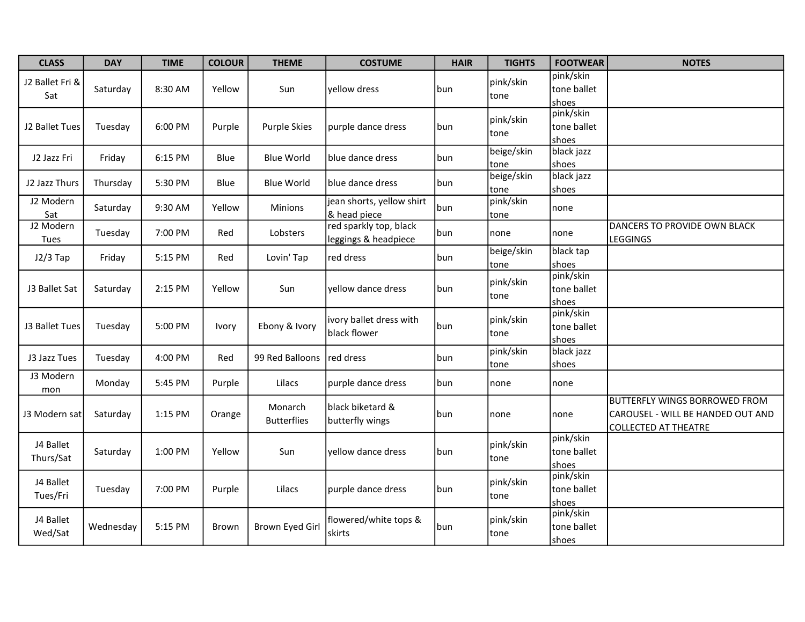| <b>CLASS</b>           | <b>DAY</b> | <b>TIME</b> | <b>COLOUR</b> | <b>THEME</b>                  | <b>COSTUME</b>                                 | <b>HAIR</b> | <b>TIGHTS</b>      | <b>FOOTWEAR</b>                   | <b>NOTES</b>                                                                                             |
|------------------------|------------|-------------|---------------|-------------------------------|------------------------------------------------|-------------|--------------------|-----------------------------------|----------------------------------------------------------------------------------------------------------|
| J2 Ballet Fri &<br>Sat | Saturday   | 8:30 AM     | Yellow        | Sun                           | yellow dress                                   | bun         | pink/skin<br>tone  | pink/skin<br>tone ballet<br>shoes |                                                                                                          |
| J2 Ballet Tues         | Tuesday    | 6:00 PM     | Purple        | <b>Purple Skies</b>           | purple dance dress                             | bun         | pink/skin<br>tone  | pink/skin<br>tone ballet<br>shoes |                                                                                                          |
| J2 Jazz Fri            | Friday     | 6:15 PM     | Blue          | <b>Blue World</b>             | blue dance dress                               | bun         | beige/skin<br>tone | black jazz<br>shoes               |                                                                                                          |
| J2 Jazz Thurs          | Thursday   | 5:30 PM     | Blue          | <b>Blue World</b>             | blue dance dress                               | bun         | beige/skin<br>tone | black jazz<br>shoes               |                                                                                                          |
| J2 Modern<br>Sat       | Saturday   | 9:30 AM     | Yellow        | Minions                       | jean shorts, yellow shirt<br>& head piece      | bun         | pink/skin<br>tone  | none                              |                                                                                                          |
| J2 Modern<br>Tues      | Tuesday    | 7:00 PM     | Red           | Lobsters                      | red sparkly top, black<br>leggings & headpiece | bun         | none               | none                              | DANCERS TO PROVIDE OWN BLACK<br>LEGGINGS                                                                 |
| $J2/3$ Tap             | Friday     | 5:15 PM     | Red           | Lovin' Tap                    | red dress                                      | bun         | beige/skin<br>tone | black tap<br>shoes                |                                                                                                          |
| J3 Ballet Sat          | Saturday   | 2:15 PM     | Yellow        | Sun                           | yellow dance dress                             | bun         | pink/skin<br>tone  | pink/skin<br>tone ballet<br>shoes |                                                                                                          |
| J3 Ballet Tues         | Tuesday    | 5:00 PM     | Ivory         | Ebony & Ivory                 | ivory ballet dress with<br>black flower        | bun         | pink/skin<br>tone  | pink/skin<br>tone ballet<br>shoes |                                                                                                          |
| J3 Jazz Tues           | Tuesday    | 4:00 PM     | Red           | 99 Red Balloons               | red dress                                      | bun         | pink/skin<br>tone  | black jazz<br>shoes               |                                                                                                          |
| J3 Modern<br>mon       | Monday     | 5:45 PM     | Purple        | Lilacs                        | purple dance dress                             | bun         | none               | none                              |                                                                                                          |
| J3 Modern sat          | Saturday   | 1:15 PM     | Orange        | Monarch<br><b>Butterflies</b> | black biketard &<br>butterfly wings            | bun         | none               | none                              | <b>BUTTERFLY WINGS BORROWED FROM</b><br>CAROUSEL - WILL BE HANDED OUT AND<br><b>COLLECTED AT THEATRE</b> |
| J4 Ballet<br>Thurs/Sat | Saturday   | 1:00 PM     | Yellow        | Sun                           | yellow dance dress                             | bun         | pink/skin<br>tone  | pink/skin<br>tone ballet<br>shoes |                                                                                                          |
| J4 Ballet<br>Tues/Fri  | Tuesday    | 7:00 PM     | Purple        | Lilacs                        | purple dance dress                             | bun         | pink/skin<br>tone  | pink/skin<br>tone ballet<br>shoes |                                                                                                          |
| J4 Ballet<br>Wed/Sat   | Wednesday  | 5:15 PM     | Brown         | <b>Brown Eyed Girl</b>        | flowered/white tops &<br>skirts                | bun         | pink/skin<br>tone  | pink/skin<br>tone ballet<br>shoes |                                                                                                          |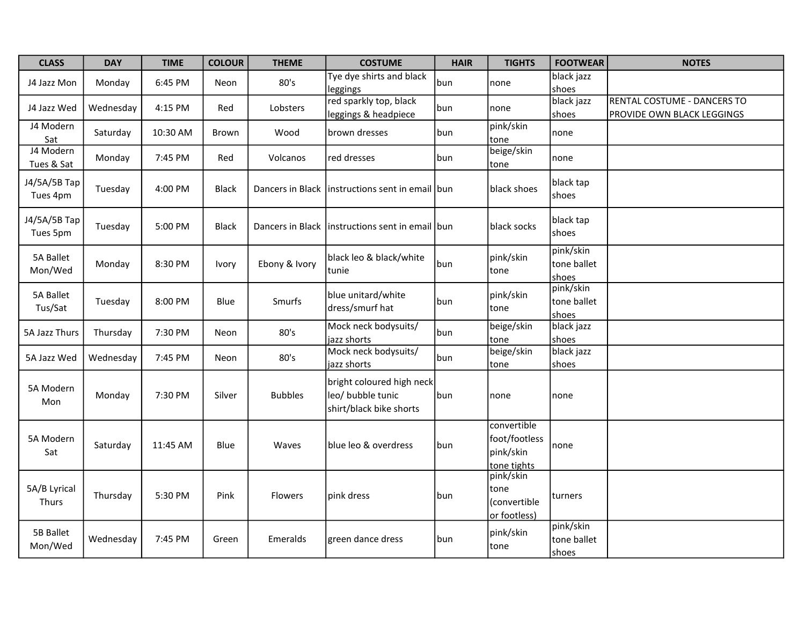| <b>CLASS</b>             | <b>DAY</b> | <b>TIME</b> | <b>COLOUR</b> | <b>THEME</b>   | <b>COSTUME</b>                                                            | <b>HAIR</b> | <b>TIGHTS</b>                                            | <b>FOOTWEAR</b>                   | <b>NOTES</b>                                              |
|--------------------------|------------|-------------|---------------|----------------|---------------------------------------------------------------------------|-------------|----------------------------------------------------------|-----------------------------------|-----------------------------------------------------------|
| J4 Jazz Mon              | Monday     | 6:45 PM     | Neon          | 80's           | Tye dye shirts and black<br>leggings                                      | bun         | none                                                     | black jazz<br>shoes               |                                                           |
| J4 Jazz Wed              | Wednesday  | 4:15 PM     | Red           | Lobsters       | red sparkly top, black<br>leggings & headpiece                            | bun         | none                                                     | black jazz<br>shoes               | RENTAL COSTUME - DANCERS TO<br>PROVIDE OWN BLACK LEGGINGS |
| J4 Modern<br>Sat         | Saturday   | 10:30 AM    | Brown         | Wood           | brown dresses                                                             | bun         | pink/skin<br>tone                                        | none                              |                                                           |
| J4 Modern<br>Tues & Sat  | Monday     | 7:45 PM     | Red           | Volcanos       | red dresses                                                               | bun         | beige/skin<br>tone                                       | Inone                             |                                                           |
| J4/5A/5B Tap<br>Tues 4pm | Tuesday    | 4:00 PM     | Black         |                | Dancers in Black linstructions sent in email bun                          |             | black shoes                                              | black tap<br>shoes                |                                                           |
| J4/5A/5B Tap<br>Tues 5pm | Tuesday    | 5:00 PM     | <b>Black</b>  |                | Dancers in Black linstructions sent in email bun                          |             | black socks                                              | black tap<br>shoes                |                                                           |
| 5A Ballet<br>Mon/Wed     | Monday     | 8:30 PM     | Ivory         | Ebony & Ivory  | black leo & black/white<br>tunie                                          | bun         | pink/skin<br>tone                                        | pink/skin<br>tone ballet<br>shoes |                                                           |
| 5A Ballet<br>Tus/Sat     | Tuesday    | 8:00 PM     | Blue          | Smurfs         | blue unitard/white<br>dress/smurf hat                                     | bun         | pink/skin<br>tone                                        | pink/skin<br>tone ballet<br>shoes |                                                           |
| 5A Jazz Thurs            | Thursday   | 7:30 PM     | Neon          | 80's           | Mock neck bodysuits/<br>jazz shorts                                       | bun         | beige/skin<br>tone                                       | black jazz<br>shoes               |                                                           |
| 5A Jazz Wed              | Wednesday  | 7:45 PM     | Neon          | 80's           | Mock neck bodysuits/<br>jazz shorts                                       | bun         | beige/skin<br>tone                                       | black jazz<br>shoes               |                                                           |
| 5A Modern<br>Mon         | Monday     | 7:30 PM     | Silver        | <b>Bubbles</b> | bright coloured high neck<br>leo/ bubble tunic<br>shirt/black bike shorts | bun         | none                                                     | none                              |                                                           |
| 5A Modern<br>Sat         | Saturday   | 11:45 AM    | Blue          | Waves          | blue leo & overdress                                                      | bun         | convertible<br>foot/footless<br>pink/skin<br>tone tights | none                              |                                                           |
| 5A/B Lyrical<br>Thurs    | Thursday   | 5:30 PM     | Pink          | <b>Flowers</b> | pink dress                                                                | bun         | pink/skin<br>tone<br>(convertible<br>or footless)        | Iturners                          |                                                           |
| 5B Ballet<br>Mon/Wed     | Wednesday  | 7:45 PM     | Green         | Emeralds       | green dance dress                                                         | bun         | pink/skin<br>tone                                        | pink/skin<br>tone ballet<br>shoes |                                                           |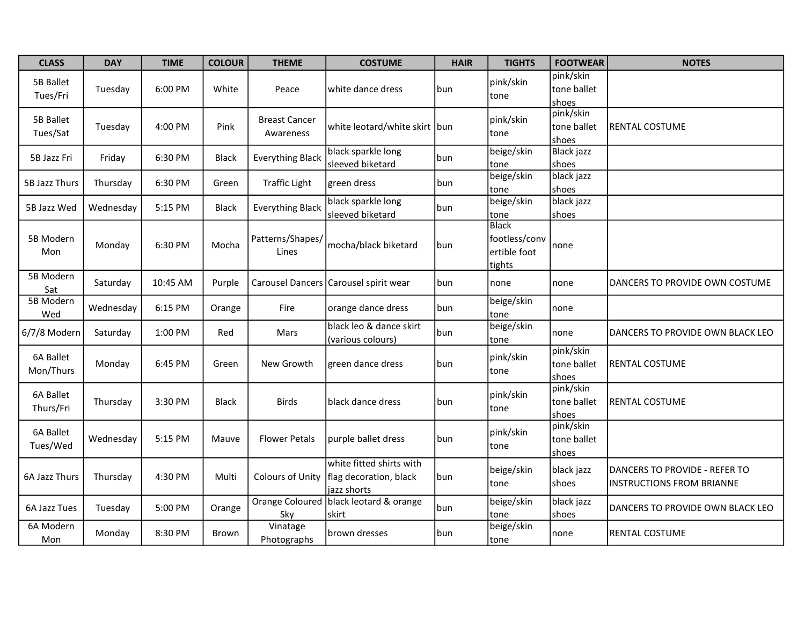| <b>CLASS</b>           | <b>DAY</b> | <b>TIME</b> | <b>COLOUR</b> | <b>THEME</b>                      | <b>COSTUME</b>                                                    | <b>HAIR</b> | <b>TIGHTS</b>                                           | <b>FOOTWEAR</b>                   | <b>NOTES</b>                                                      |
|------------------------|------------|-------------|---------------|-----------------------------------|-------------------------------------------------------------------|-------------|---------------------------------------------------------|-----------------------------------|-------------------------------------------------------------------|
| 5B Ballet<br>Tues/Fri  | Tuesday    | 6:00 PM     | White         | Peace                             | white dance dress                                                 | bun         | pink/skin<br>tone                                       | pink/skin<br>tone ballet<br>shoes |                                                                   |
| 5B Ballet<br>Tues/Sat  | Tuesday    | 4:00 PM     | Pink          | <b>Breast Cancer</b><br>Awareness | white leotard/white skirt bun                                     |             | pink/skin<br>tone                                       | pink/skin<br>tone ballet<br>shoes | <b>RENTAL COSTUME</b>                                             |
| 5B Jazz Fri            | Friday     | 6:30 PM     | <b>Black</b>  | <b>Everything Black</b>           | black sparkle long<br>sleeved biketard                            | bun         | beige/skin<br>tone                                      | <b>Black jazz</b><br>shoes        |                                                                   |
| 5B Jazz Thurs          | Thursday   | 6:30 PM     | Green         | <b>Traffic Light</b>              | green dress                                                       | bun         | beige/skin<br>tone                                      | black jazz<br>shoes               |                                                                   |
| 5B Jazz Wed            | Wednesday  | 5:15 PM     | <b>Black</b>  | <b>Everything Black</b>           | black sparkle long<br>sleeved biketard                            | bun         | beige/skin<br>tone                                      | black jazz<br>shoes               |                                                                   |
| 5B Modern<br>Mon       | Monday     | 6:30 PM     | Mocha         | Patterns/Shapes/<br>Lines         | mocha/black biketard                                              | bun         | <b>Black</b><br>footless/conv<br>ertible foot<br>tights | none                              |                                                                   |
| 5B Modern<br>Sat       | Saturday   | 10:45 AM    | Purple        |                                   | Carousel Dancers Carousel spirit wear                             | bun         | none                                                    | none                              | DANCERS TO PROVIDE OWN COSTUME                                    |
| 5B Modern<br>Wed       | Wednesday  | 6:15 PM     | Orange        | Fire                              | orange dance dress                                                | bun         | beige/skin<br>tone                                      | none                              |                                                                   |
| 6/7/8 Modern           | Saturday   | 1:00 PM     | Red           | Mars                              | black leo & dance skirt<br>(various colours)                      | bun         | beige/skin<br>tone                                      | none                              | DANCERS TO PROVIDE OWN BLACK LEO                                  |
| 6A Ballet<br>Mon/Thurs | Monday     | 6:45 PM     | Green         | New Growth                        | green dance dress                                                 | bun         | pink/skin<br>tone                                       | pink/skin<br>tone ballet<br>shoes | <b>RENTAL COSTUME</b>                                             |
| 6A Ballet<br>Thurs/Fri | Thursday   | 3:30 PM     | <b>Black</b>  | <b>Birds</b>                      | black dance dress                                                 | bun         | pink/skin<br>tone                                       | pink/skin<br>tone ballet<br>shoes | <b>RENTAL COSTUME</b>                                             |
| 6A Ballet<br>Tues/Wed  | Wednesday  | 5:15 PM     | Mauve         | <b>Flower Petals</b>              | purple ballet dress                                               | bun         | pink/skin<br>tone                                       | pink/skin<br>tone ballet<br>shoes |                                                                   |
| 6A Jazz Thurs          | Thursday   | 4:30 PM     | Multi         | Colours of Unity                  | white fitted shirts with<br>flag decoration, black<br>jazz shorts | bun         | beige/skin<br>tone                                      | black jazz<br>shoes               | DANCERS TO PROVIDE - REFER TO<br><b>INSTRUCTIONS FROM BRIANNE</b> |
| 6A Jazz Tues           | Tuesday    | 5:00 PM     | Orange        | Sky                               | Orange Coloured black leotard & orange<br>skirt                   | bun         | beige/skin<br>tone                                      | black jazz<br>shoes               | DANCERS TO PROVIDE OWN BLACK LEO                                  |
| 6A Modern<br>Mon       | Monday     | 8:30 PM     | Brown         | Vinatage<br>Photographs           | brown dresses                                                     | bun         | beige/skin<br>tone                                      | none                              | <b>RENTAL COSTUME</b>                                             |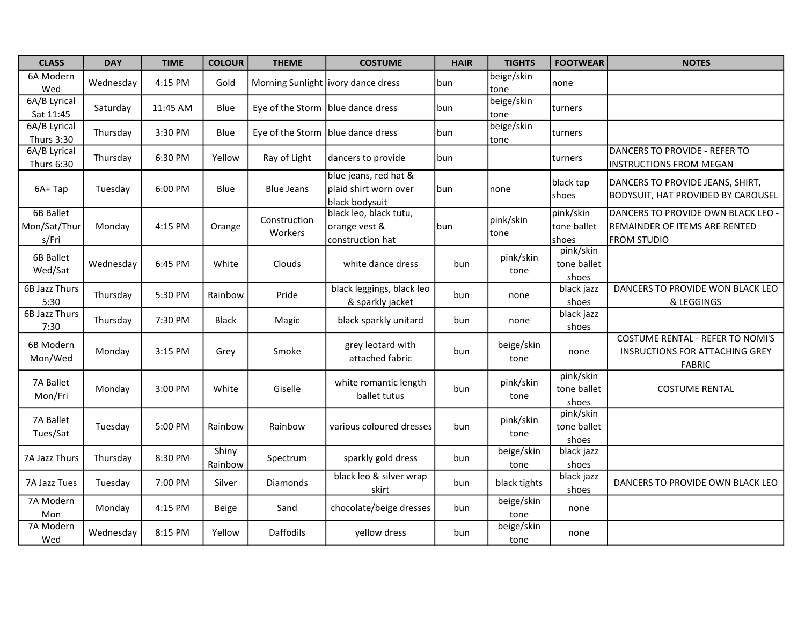| <b>CLASS</b>                              | <b>DAY</b> | <b>TIME</b> | <b>COLOUR</b>    | <b>THEME</b>                      | <b>COSTUME</b>                                                   | <b>HAIR</b> | <b>TIGHTS</b>      | <b>FOOTWEAR</b>                   | <b>NOTES</b>                                                                                      |
|-------------------------------------------|------------|-------------|------------------|-----------------------------------|------------------------------------------------------------------|-------------|--------------------|-----------------------------------|---------------------------------------------------------------------------------------------------|
| 6A Modern<br>Wed                          | Wednesday  | 4:15 PM     | Gold             |                                   | Morning Sunlight   ivory dance dress                             | bun         | beige/skin<br>tone | none                              |                                                                                                   |
| 6A/B Lyrical<br>Sat 11:45                 | Saturday   | 11:45 AM    | Blue             | Eye of the Storm blue dance dress |                                                                  | bun         | beige/skin<br>tone | turners                           |                                                                                                   |
| 6A/B Lyrical<br>Thurs 3:30                | Thursday   | 3:30 PM     | Blue             |                                   | Eye of the Storm blue dance dress                                | bun         | beige/skin<br>tone | <b>Iturners</b>                   |                                                                                                   |
| 6A/B Lyrical<br>Thurs 6:30                | Thursday   | 6:30 PM     | Yellow           | Ray of Light                      | dancers to provide                                               | bun         |                    | turners                           | DANCERS TO PROVIDE - REFER TO<br><b>INSTRUCTIONS FROM MEGAN</b>                                   |
| 6A+Tap                                    | Tuesday    | 6:00 PM     | Blue             | <b>Blue Jeans</b>                 | blue jeans, red hat &<br>plaid shirt worn over<br>black bodysuit | bun         | none               | black tap<br>shoes                | DANCERS TO PROVIDE JEANS, SHIRT,<br><b>BODYSUIT, HAT PROVIDED BY CAROUSEL</b>                     |
| <b>6B Ballet</b><br>Mon/Sat/Thur<br>s/Fri | Monday     | 4:15 PM     | Orange           | Construction<br>Workers           | black leo, black tutu,<br>orange vest &<br>construction hat      | bun         | pink/skin<br> tone | pink/skin<br>tone ballet<br>shoes | DANCERS TO PROVIDE OWN BLACK LEO -<br><b>REMAINDER OF ITEMS ARE RENTED</b><br><b>FROM STUDIO</b>  |
| 6B Ballet<br>Wed/Sat                      | Wednesday  | 6:45 PM     | White            | Clouds                            | white dance dress                                                | bun         | pink/skin<br>tone  | pink/skin<br>tone ballet<br>shoes |                                                                                                   |
| 6B Jazz Thurs<br>5:30                     | Thursday   | 5:30 PM     | Rainbow          | Pride                             | black leggings, black leo<br>& sparkly jacket                    | bun         | none               | black jazz<br>shoes               | DANCERS TO PROVIDE WON BLACK LEO<br>& LEGGINGS                                                    |
| <b>6B Jazz Thurs</b><br>7:30              | Thursday   | 7:30 PM     | <b>Black</b>     | Magic                             | black sparkly unitard                                            | bun         | none               | black jazz<br>shoes               |                                                                                                   |
| 6B Modern<br>Mon/Wed                      | Monday     | 3:15 PM     | Grey             | Smoke                             | grey leotard with<br>attached fabric                             | bun         | beige/skin<br>tone | none                              | <b>COSTUME RENTAL - REFER TO NOMI'S</b><br><b>INSRUCTIONS FOR ATTACHING GREY</b><br><b>FABRIC</b> |
| 7A Ballet<br>Mon/Fri                      | Monday     | 3:00 PM     | White            | Giselle                           | white romantic length<br>ballet tutus                            | bun         | pink/skin<br>tone  | pink/skin<br>tone ballet<br>shoes | <b>COSTUME RENTAL</b>                                                                             |
| 7A Ballet<br>Tues/Sat                     | Tuesday    | 5:00 PM     | Rainbow          | Rainbow                           | various coloured dresses                                         | bun         | pink/skin<br>tone  | pink/skin<br>tone ballet<br>shoes |                                                                                                   |
| 7A Jazz Thurs                             | Thursday   | 8:30 PM     | Shiny<br>Rainbow | Spectrum                          | sparkly gold dress                                               | bun         | beige/skin<br>tone | black jazz<br>shoes               |                                                                                                   |
| 7A Jazz Tues                              | Tuesday    | 7:00 PM     | Silver           | Diamonds                          | black leo & silver wrap<br>skirt                                 | bun         | black tights       | black jazz<br>shoes               | DANCERS TO PROVIDE OWN BLACK LEO                                                                  |
| 7A Modern<br>Mon                          | Monday     | 4:15 PM     | <b>Beige</b>     | Sand                              | chocolate/beige dresses                                          | bun         | beige/skin<br>tone | none                              |                                                                                                   |
| 7A Modern<br>Wed                          | Wednesday  | 8:15 PM     | Yellow           | <b>Daffodils</b>                  | yellow dress                                                     | bun         | beige/skin<br>tone | none                              |                                                                                                   |